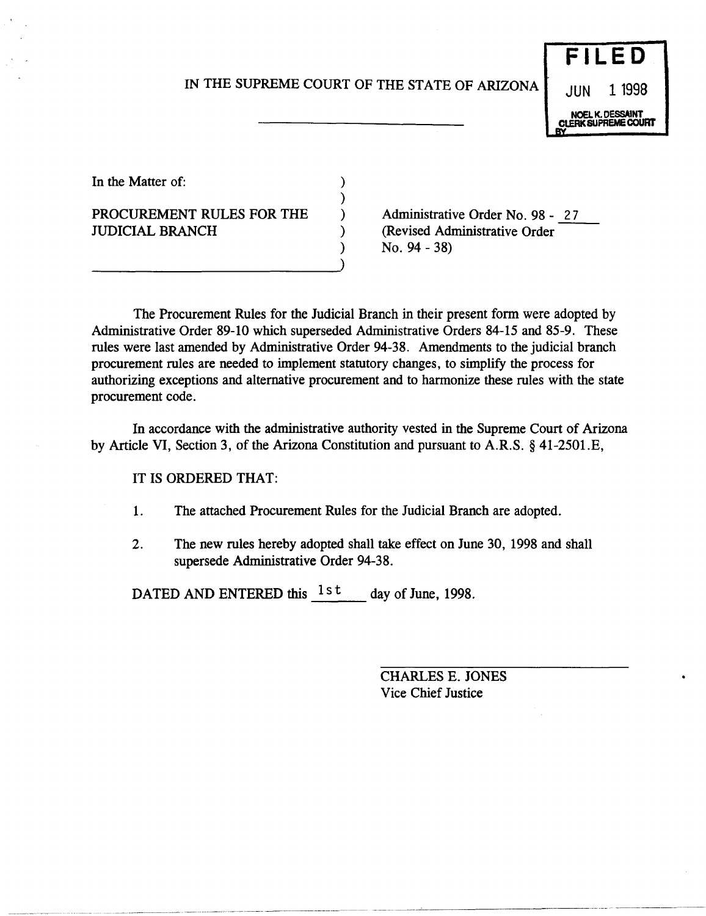## IN THE SUPREME COURT OF THE STATE OF ARIZONA

) ) ) ) )

# **FILED**  JUN 1 1998 NOEL K. OESSAlNT CLERK SUPREME COURT

In the Matter of:

# PROCUREMENT RULES FOR THE JUDICIAL BRANCH

--------------------------~)

Administrative Order No. 98 - 27 Administrative Order No. 98 - 27<br>(Revised Administrative Order No. 94 - 38)

The Procurement Rules for the Judicial Branch in their present form were adopted by Administrative Order 89-10 which superseded Administrative Orders 84-15 and 85-9. These rules were last amended by Administrative Order 94-38. Amendments to the judicial branch procurement rules are needed to implement statutory changes, to simplify the process for authorizing exceptions and alternative procurement and to harmonize these rules with the state procurement code.

In accordance with the administrative authority vested in the Supreme Court of Arizona by Article VI, Section 3, of the Arizona Constitution and pursuant to A.R.S. § 41-2501.E,

## IT IS ORDERED THAT:

- 1. The attached Procurement Rules for the Judicial Branch are adopted.
- 2. The new rules hereby adopted shall take effect on June 30, 1998 and shall supersede Administrative Order 94-38.

DATED AND ENTERED this  $1st$  day of June, 1998.

CHARLES E. JONES Vice Chief Justice

~~~~~~-~- ~-~~--~--~ -- ~~~- -~----~---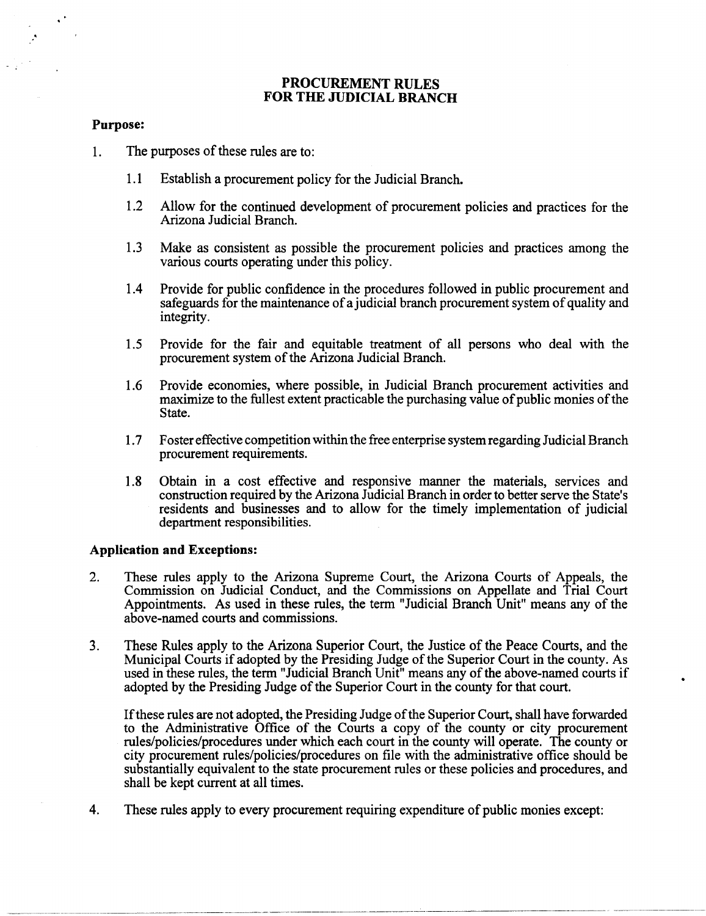## **PROCUREMENT RULES FOR THE JUDICIAL BRANCH**

#### **Purpose:**

.'

- 1. The purposes of these rules are to:
	- 1.1 Establish a procurement policy for the Judicial Branch.
	- 1.2 Allow for the continued development of procurement policies and practices for the Arizona Judicial Branch.
	- 1.3 Make as consistent as possible the procurement policies and practices among the various courts operating under this policy.
	- 1.4 Provide for public confidence in the procedures followed in public procurement and safeguards for the maintenance of a judicial branch procurement system of quality and integrity.
	- 1.5 Provide for the fair and equitable treatment of all persons who deal with the procurement system of the Arizona Judicial Branch.
	- 1.6 Provide economies, where possible, in Judicial Branch procurement activities and maximize to the fullest extent practicable the purchasing value of public monies of the State.
	- 1.7 F oster effective competition within the free enterprise system regarding Judicial Branch procurement requirements.
	- 1.8 Obtain in a cost effective and responsive manner the materials, services and construction required by the Arizona Judicial Branch in order to better serve the State's residents and businesses and to allow for the timely implementation of judicial department responsibilities.

#### **Application and Exceptions:**

-------------------~--.- ---

- 2. These rules apply to the Arizona Supreme Court, the Arizona Courts of Appeals, the Commission on Judicial Conduct, and the Commissions on Appellate and Trial Court Appointments. As used in these rules, the term "Judicial Branch Unit" means any of the above-named courts and commissions.
- 3. These Rules apply to the Arizona Superior Court, the Justice of the Peace Courts, and the Municipal Courts if adopted by the Presiding Judge of the Superior Court in the county. As used in these rules, the term "Judicial Branch Unit" means any of the above-named courts if adopted by the Presiding Judge of the Superior Court in the county for that court.

Ifthese rules are not adopted, the Presiding Judge of the Superior Court, shall have forwarded to the Administrative Office of the Courts a copy of the county or city procurement rules/policies/procedures under which each court in the county will operate. The county or city procurement rules/policies/procedures on file with the administrative office should be substantially equivalent to the state procurement rules or these policies and procedures, and shall be kept current at all times.

4. These rules apply to every procurement requiring expenditure of public monies except: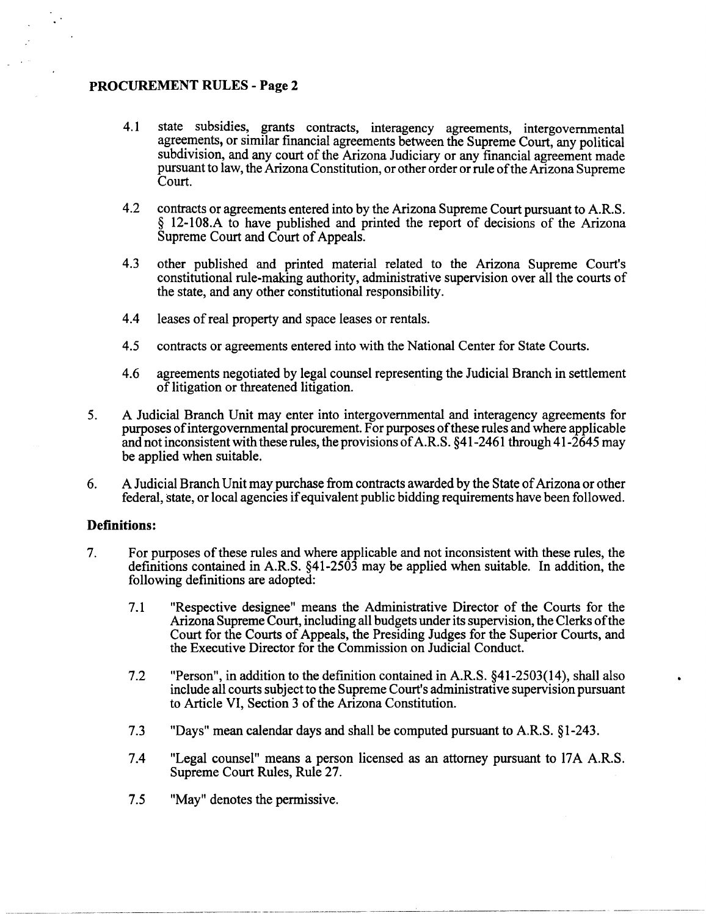- 4.1 state subsidies, grants contracts, interagency agreements, intergovernmental agreements, or similar financial agreements between the Supreme Court, any political subdivision, and any court of the Arizona Judiciary or any financial agreement made pursuant to law, the Arizona Constitution, or other order or rule ofthe Arizona Supreme Court.
- 4.2 contracts or agreements entered into by the Arizona Supreme Court pursuant to A.R.S. § 12-10S.A to have published and printed the report of decisions of the Arizona Supreme Court and Court of Appeals.
- 4.3 other published and printed material related to the Arizona Supreme Court's constitutional rule-making authority, administrative supervision over all the courts of the state, and any other constitutional responsibility.
- 4.4 leases of real property and space leases or rentals.
- 4.5 contracts or agreements entered into with the National Center for State Courts.
- 4.6 agreements negotiated by legal counsel representing the Judicial Branch in settlement of litigation or threatened litigation.
- 5. A Judicial Branch Unit may enter into intergovernmental and interagency agreements for purposes of intergovernmental procurement. For purposes of these rules and where applicable and not inconsistent with these rules, the provisions of A.R.S.  $\S 41-2461$  through  $41-2645$  may be applied when suitable.
- 6. A Judicial Branch Unit may purchase from contracts awarded by the State of Arizona or other federal, state, or local agencies if equivalent public bidding requirements have been followed.

## **Definitions:**

- 7. For purposes of these rules and where applicable and not inconsistent with these rules, the definitions contained in A.R.S. §41-2503 may be applied when suitable. In addition, the following definitions are adopted:
	- 7.1 "Respective designee" means the Administrative Director of the Courts for the Arizona Supreme Court, including all budgets under its supervision, the Clerks of the Court for the Courts of Appeals, the Presiding Judges for the Superior Courts, and the Executive Director for the Commission on Judicial Conduct.
	- 7.2 "Person", in addition to the definition contained in AR.S. §41-2503(14), shall also include all courts subject to the Supreme Court's administrative supervision pursuant to Article VI, Section 3 of the Arizona Constitution.
	- 7.3 "Days" mean calendar days and shall be computed pursuant to AR.S. §1-243.
	- 7.4 "Legal counsel" means a person licensed as an attorney pursuant to 17A AR.S. Supreme Court Rules, Rule 27.
	- 7.5 "May" denotes the permissive.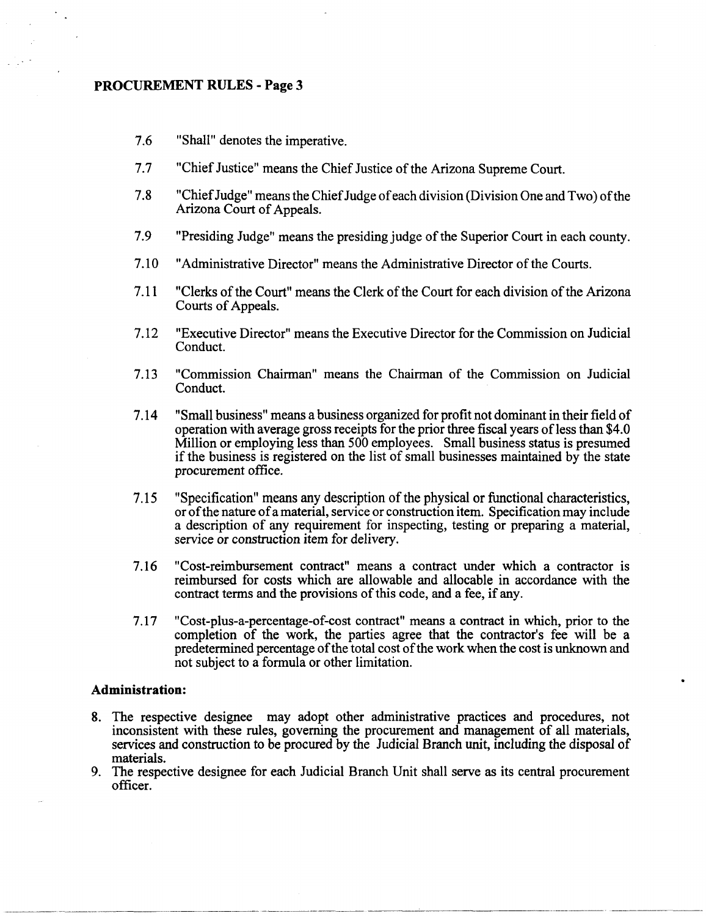- 7.6 "Shall" denotes the imperative.
- 7.7 "Chief Justice" means the Chief Justice of the Arizona Supreme Court.
- 7.8 "Chief Judge" means the Chief Judge of each division (Division One and Two) of the Arizona Court of Appeals.
- 7.9 "Presiding Judge" means the presiding judge of the Superior Court in each county.
- 7.10 "Administrative Director" means the Administrative Director of the Courts.
- 7.11 "Clerks of the Court" means the Clerk of the Court for each division of the Arizona Courts of Appeals.
- 7.12 "Executive Director" means the Executive Director for the Commission on Judicial Conduct.
- 7.13 "Commission Chainnan" means the Chainnan of the Commission on Judicial Conduct.
- 7.14 "Small business" means a business organized for profit not dominant in their field of operation with average gross receipts for the prior three fiscal years of less than \$4.0 Million or employing less than 500 employees. Small business status is presumed if the business is registered on the list of small businesses maintained by the state procurement office.
- 7.15 "Specification" means any description of the physical or functional characteristics, or of the nature of a material, service or construction item. Specification may include a description of any requirement for inspecting, testing or preparing a material, service or construction item for delivery.
- 7.16 "Cost-reimbursement contract" means a contract under which a contractor is reimbursed for costs which are allowable and allocable in accordance with the contract terms and the provisions of this code, and a fee, if any.
- 7.17 "Cost-plus-a-percentage-of-cost contract" means a contract in which, prior to the completion of the work, the parties agree that the contractor's fee will be a predetennined percentage of the total cost of the work when the cost is unknown and not subject to a fonnula or other limitation.

## **Administration:**

- 8. The respective designee may adopt other administrative practices and procedures, not inconsistent with these rules, governing the procurement and management of all materials, services and construction to be procured by the Judicial Branch unit, including the disposal of materials.
- 9. The respective designee for each Judicial Branch Unit shall serve as its central procurement officer.

~-.-- ~--~-~ ... ---- .-.--------.~~~-~.--.--.-------- ----~---------~------~----.. -------~--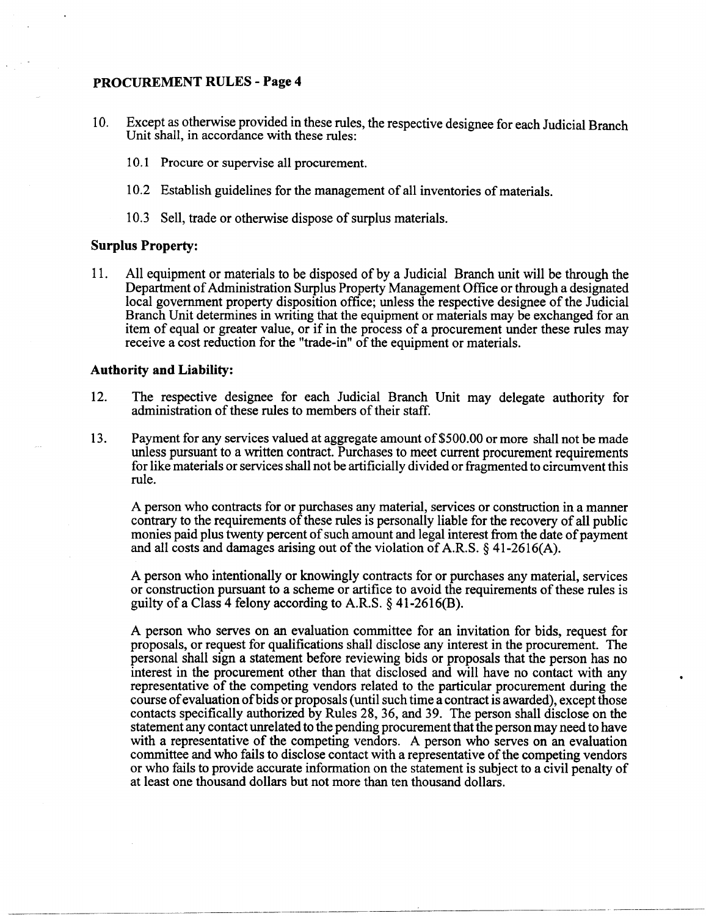- 10. Except as otherwise provided in these rules, the respective designee for each Judicial Branch Unit shall, in accordance with these rules:
	- 10.1 Procure or supervise all procurement.
	- 10.2 Establish guidelines for the management of all inventories of materials.
	- 10.3 Sell, trade or otherwise dispose of surplus materials.

## **Surplus Property:**

11. All equipment or materials to be disposed of by a Judicial Branch unit will be through the Department of Administration Surplus Property Management Office or through a designated local government property disposition office; unless the respective designee of the Judicial Branch Unit determines in writing that the equipment or materials may be exchanged for an item of equal or greater value, or if in the process of a procurement under these rules may receive a cost reduction for the "trade-in" of the equipment or materials.

### **Authority and Liability:**

- 12. The respective designee for each Judicial Branch Unit may delegate authority for administration of these rules to members of their staff.
- 13. Payment for any services valued at aggregate amount of\$500.00 or more shall not be made unless pursuant to a written contract. Purchases to meet current procurement requirements for like materials or services shall not be artificially divided or fragmented to circumvent this rule.

A person who contracts for or purchases any material, services or construction in a manner contrary to the requirements of these rules is personally liable for the recovery of all public monies paid plus twenty percent of such amount and legal interest from the date of payment and all costs and damages arising out of the violation of A.R.S. § 41-2616(A).

A person who intentionally or knowingly contracts for or purchases any material, services or construction pursuant to a scheme or artifice to avoid the requirements of these rules is guilty of a Class 4 felony according to A.R.S.  $\S$  41-2616(B).

A person who serves on an evaluation committee for an invitation for bids, request for proposals, or request for qualifications shall disclose any interest in the procurement. The personal shall sign a statement before reviewing bids or proposals that the person has no interest in the procurement other than that disclosed and will have no contact with any representative of the competing vendors related to the particular procurement during the course of evaluation of bids or proposals (until such time a contract is awarded), except those contacts specifically authorized by Rules 28, 36, and 39. The person shall disclose on the statement any contact unrelated to the pending procurement that the person may need to have with a representative of the competing vendors. A person who serves on an evaluation committee and who fails to disclose contact with a representative of the competing vendors or who fails to provide accurate information on the statement is subject to a civil penalty of at least one thousand dollars but not more than ten thousand dollars.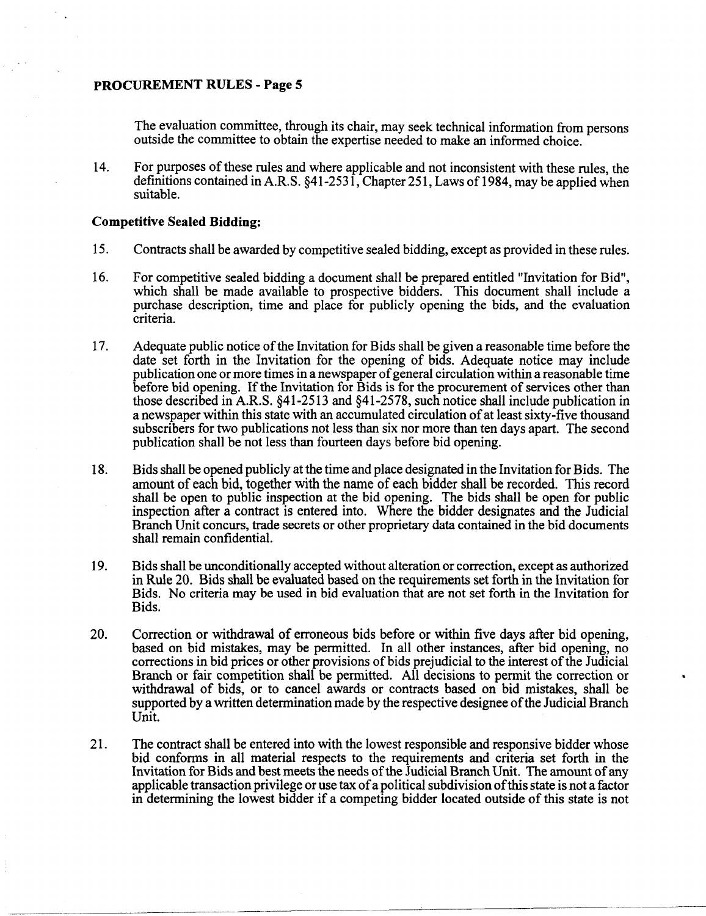The evaluation committee, through its chair, may seek technical information from persons outside the committee to obtain the expertise needed to make an informed choice.

14. For purposes of these rules and where applicable and not inconsistent with these rules, the definitions contained in A.R.S. §41-2531, Chapter 251, Laws of 1984, may be applied when suitable.

#### **Competitive Sealed Bidding:**

- 15. Contracts shall be awarded by competitive sealed bidding, except as provided in these rules.
- 16. For competitive sealed bidding a document shall be prepared entitled "Invitation for Bid", which shall be made available to prospective bidders. This document shall include a purchase description, time and place for publicly opening the bids, and the evaluation criteria.
- 17. Adequate public notice of the Invitation for Bids shall be given a reasonable time before the date set forth in the Invitation for the opening of bids. Adequate notice may include publication one or more times in a newspaper of general circulation within a reasonable time before bid opening. If the Invitation for Bids is for the procurement of services other than those described in A.R.S. §41-2513 and §41-2578, such notice shall include publication in a newspaper within this state with an accumulated circulation of at least sixty-five thousand subscribers for two publications not less than six nor more than ten days apart. The second publication shall be not less than fourteen days before bid opening.
- 18. Bids shall be opened publicly at the time and place designated in the Invitation for Bids. The amount of each bid, together with the name of each bidder shall be recorded. This record shall be open to public inspection at the bid opening. The bids shall be open for public inspection after a contract is entered into. Where the bidder designates and the Judicial Branch Unit concurs, trade secrets or other proprietary data contained in the bid documents shall remain confidential.
- 19. Bids shall be unconditionally accepted without alteration or correction, except as authorized in Rule 20. Bids shall be evaluated based on the requirements set forth in the Invitation for Bids. No criteria may be used in bid evaluation that are not set forth in the Invitation for Bids.
- 20. Correction or withdrawal of erroneous bids before or within five days after bid opening, based on bid mistakes, may be permitted. In all other instances, after bid opening, no corrections in bid prices or other provisions of bids prejudicial to the interest of the Judicial Branch or fair competition shall be permitted. All decisions to permit the correction or withdrawal of bids, or to cancel awards or contracts based on bid mistakes, shall be supported by a written determination made by the respective designee of the Judicial Branch Unit.
- 21. The contract shall be entered into with the lowest responsible and responsive bidder whose bid conforms in all material respects to the requirements and criteria set forth in the Invitation for Bids and best meets the needs of the Judicial Branch Unit. The amount of any applicable transaction privilege or use tax of a political subdivision of this state is not a factor in determining the lowest bidder if a competing bidder located outside of this state is not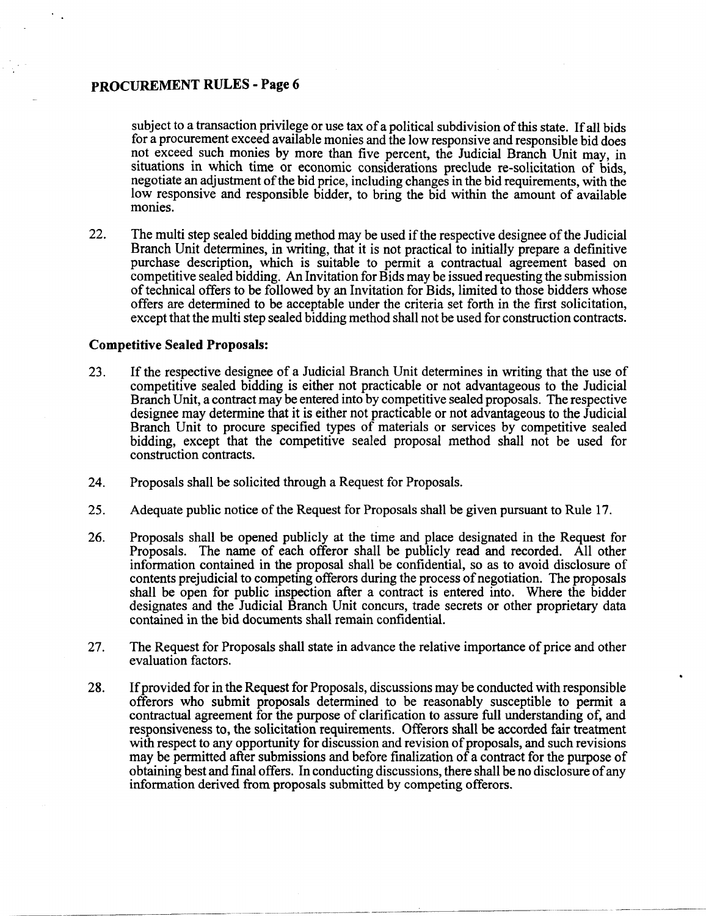subject to a transaction privilege or use tax of a political subdivision of this state. If all bids for a procurement exceed available monies and the low responsive and responsible bid does not exceed such monies by more than five percent, the Judicial Branch Unit may, in situations in which time or economic considerations preclude re-solicitation of bids, negotiate an adjustment of the bid price, including changes in the bid requirements, with the low responsive and responsible bidder, to bring the bid within the amount of available monies.

22. The multi step sealed bidding method may be used if the respective designee of the Judicial Branch Unit determines, in writing, that it is not practical to initially prepare a definitive purchase description, which is suitable to permit a contractual agreement based on competitive sealed bidding. An Invitation for Bids may be issued requesting the submission of technical offers to be followed by an Invitation for Bids, limited to those bidders whose offers are determined to be acceptable under the criteria set forth in the first solicitation, except that the multi step sealed bidding method shall not be used for construction contracts.

#### Competitive Sealed Proposals:

- 23. If the respective designee of a Judicial Branch Unit determines in writing that the use of competitive sealed bidding is either not practicable or not advantageous to the Judicial Branch Unit, a contract may be entered into by competitive sealed proposals. The respective designee may determine that it is either not practicable or not advantageous to the Judicial Branch Unit to procure specified types of materials or services by competitive sealed bidding, except that the competitive sealed proposal method shall not be used for construction contracts.
- 24. Proposals shall be solicited through a Request for Proposals.

-----~~- ---- ----- ---- .\_-- ---\_.\_-- ~--- --~--~-- ----

- 25. Adequate public notice of the Request for Proposals shall be given pursuant to Rule 17.
- 26. Proposals shall be opened publicly at the time and place designated in the Request for Proposals. The name of each offeror shall be publicly read and recorded. All other information contained in the proposal shall be confidential, so as to avoid disclosure of contents prejudicial to competing offerors during the process of negotiation. The proposals shall be open for public inspection after a contract is entered into. Where the bidder designates and the Judicial Branch Unit concurs, trade secrets or other proprietary data contained in the bid documents shall remain confidential.
- 27. The Request for Proposals shall state in advance the relative importance of price and other evaluation factors.
- 28. If provided for in the Request for Proposals, discussions may be conducted with responsible offerors who submit proposals determined to be reasonably susceptible to permit a contractual agreement for the purpose of clarification to assure full understanding of, and responsiveness to, the solicitation requirements. Offerors shall be accorded fair treatment with respect to any opportunity for discussion and revision of proposals, and such revisions may be permitted after submissions and before finalization of a contract for the purpose of obtaining best and final offers. In conducting discussions, there shall be no disclosure of any information derived from proposals submitted by competing offerors.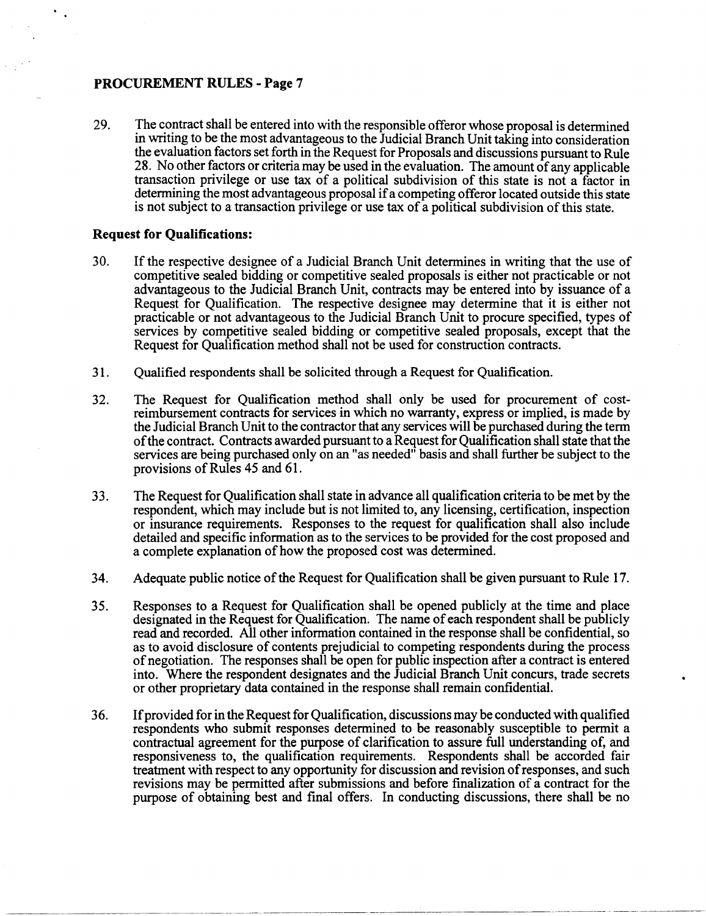29. The contract shall be entered into with the responsible offeror whose proposal is determined in writing to be the most advantageous to the Judicial Branch Unit taking into consideration the evaluation factors set forth in the Request for Proposals and discussions pursuant to Rule 28. No other factors or criteria may be used in the evaluation. The amount of any applicable transaction privilege or use tax of a political subdivision of this state is not a factor in determining the most advantageous proposal if a competing offeror located outside this state is not subject to a transaction privilege or use tax of a political subdivision of this state.

## **Request for Qualifications:**

- 30. If the respective designee of a Judicial Branch Unit determines in writing that the use of competitive sealed bidding or competitive sealed proposals is either not practicable or not advantageous to the Judicial Branch Unit, contracts may be entered into by issuance of a Request for Qualification. The respective designee may determine that it is either not practicable or not advantageous to the Judicial Branch Unit to procure specified, types of services by competitive sealed bidding or competitive sealed proposals, except that the Request for Qualification method shall not be used for construction contracts.
- 31. Qualified respondents shall be solicited through a Request for Qualification.
- 32. The Request for Qualification method shall only be used for procurement of costreimbursement contracts for services in which no warranty, express or implied, is made by the Judicial Branch Unit to the contractor that any services will be purchased during the term of the contract. Contracts awarded pursuant to a Request for Qualification shall state that the services are being purchased only on an "as needed" basis and shall further be subject to the provisions of Rules 45 and 61.
- 33. The Request for Qualification shall state in advance all qualification criteria to be met by the respondent, which may include but is not limited to, any licensing, certification, inspection or insurance requirements. Responses to the request for qualification shall also include detailed and specific information as to the services to be provided for the cost proposed and a complete explanation of how the proposed cost was determined.
- 34. Adequate public notice of the Request for Qualification shall be given pursuant to Rule 17.
- 35. Responses to a Request for Qualification shall be opened publicly at the time and place designated in the Request for Qualification. The name of each respondent shall be publicly read and recorded. All other information contained in the response shall be confidential, so as to avoid disclosure of contents prejudicial to competing respondents during the process of negotiation. The responses shall be open for public inspection after a contract is entered into. Where the respondent designates and the Judicial Branch Unit concurs, trade secrets or other proprietary data contained in the response shall remain confidential.
- 36. Ifprovided for in the Request for Qualification, discussions may be conducted with qualified respondents who submit responses determined to be reasonably susceptible to permit a contractual agreement for the purpose of clarification to assure full understanding of, and responsiveness to, the qualification requirements. Respondents shall be accorded fair treatment with respect to any opportunity for discussion and revision of responses, and such revisions may be permitted after submissions and before finalization of a contract for the purpose of obtaining best and final offers. In conducting discussions, there shall be no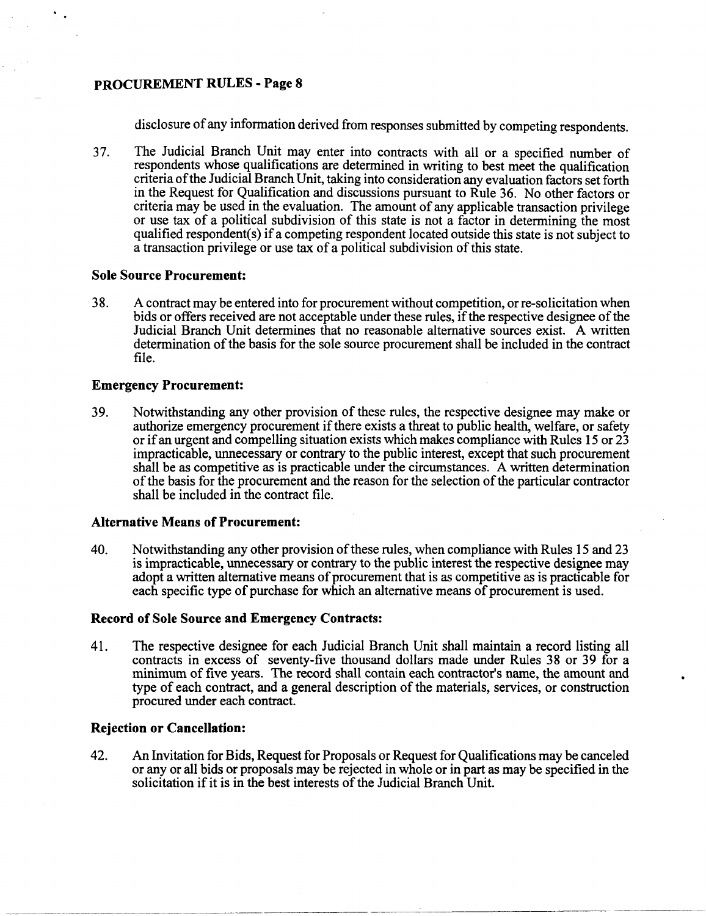disclosure of any information derived from responses submitted by competing respondents.

37. The Judicial Branch Unit may enter into contracts with all or a specified number of respondents whose qualifications are determined in writing to best meet the qualification criteria of the Judicial Branch Unit, taking into consideration any evaluation factors set forth in the Request for Qualification and discussions pursuant to Rule 36. No other factors or criteria may be used in the evaluation. The amount of any applicable transaction privilege or use tax of a political subdivision of this state is not a factor in determining the most qualified respondent(s) if a competing respondent located outside this state is not subject to a transaction privilege or use tax of a political subdivision of this state.

## **Sole Source Procurement:**

38. A contract may be entered into for procurement without competition, or re-solicitation when bids or offers received are not acceptable under these rules, if the respective designee of the Judicial Branch Unit determines that no reasonable alternative sources exist. A written determination of the basis for the sole source procurement shall be included in the contract file.

## **Emergency Procurement:**

39. Notwithstanding any other provision of these rules, the respective designee may make or authorize emergency procurement if there exists a threat to public health, welfare, or safety or if an urgent and compelling situation exists which makes compliance with Rules 15 or 23 impracticable, unnecessary or contrary to the public interest, except that such procurement shall be as competitive as is practicable under the circumstances. A written determination of the basis for the procurement and the reason for the selection of the particular contractor shall be included in the contract file.

## **Alternative Means of Procurement:**

40. Notwithstanding any other provision of these rules, when compliance with Rules 15 and 23 is impracticable, unnecessary or contrary to the public interest the respective designee may adopt a written alternative means of procurement that is as competitive as is practicable for each specific type of purchase for which an alternative means of procurement is used.

## **Record of Sole Source and Emergency Contracts:**

41. The respective designee for each Judicial Branch Unit shall maintain a record listing all contracts in excess of seventy-five thousand dollars made under Rules 38 or 39 for a minimum of five years. The record shall contain each contractor's name, the amount and type of each contract, and a general description of the materials, services, or construction procured under each contract.

## **Rejection or Cancellation:**

42. An Invitation for Bids, Request for Proposals or Request for Qualifications may be canceled or any or ail bids or proposals may be rejected in whole or in part as may be specified in the solicitation if it is in the best interests of the Judicial Branch Unit.

------- ,----~ -~----------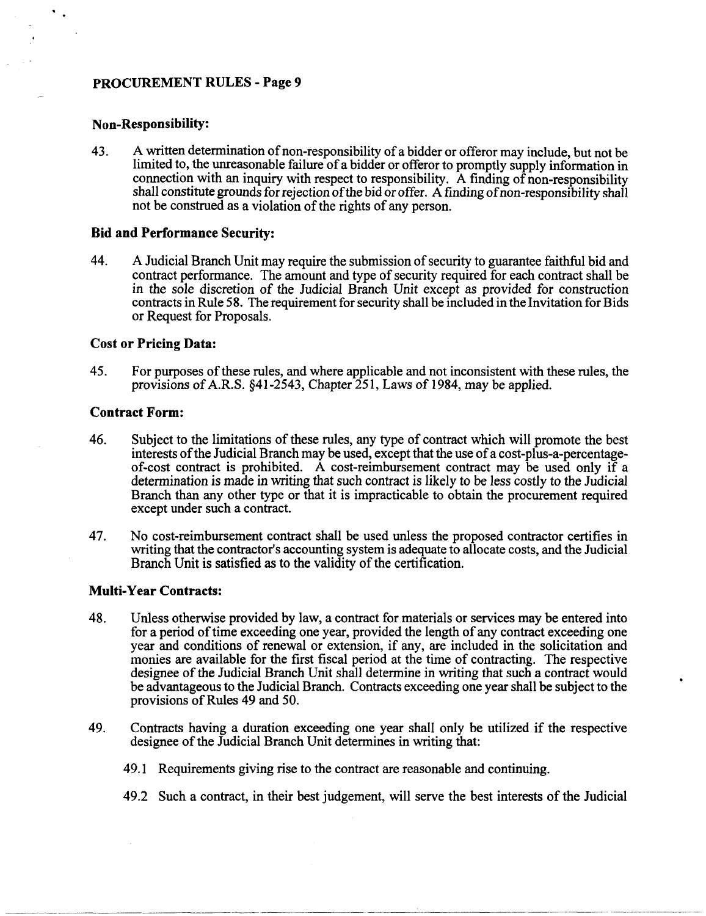## **Non-Responsibility:**

43. A written determination of non-responsibility of a bidder or offeror may include, but not be limited to, the unreasonable failure of a bidder or offeror to promptly supply information in connection with an inquiry with respect to responsibility. A finding of non-responsibility shall constitute grounds for rejection of the bid or offer. A finding of non-responsibility shall not be construed as a violation of the rights of any person.

#### **Bid and Performance Security:**

44. A Judicial Branch Unit may require the submission of security to guarantee faithful bid and contract performance. The amount and type of security required for each contract shall be in the sole discretion of the Judicial Branch Unit except as provided for construction contracts in Rule 58. The requirement for security shall be included in the Invitation for Bids or Request for Proposals.

## **Cost or Pricing Data:**

45. For purposes of these rules, and where applicable and not inconsistent with these rules, the provisions of A.R.S. §41-2543, Chapter 251, Laws of 1984, may be applied.

### **Contract Form:**

- 46. Subject to the limitations of these rules, any type of contract which will promote the best interests of the Judicial Branch may be used, except that the use of a cost-plus-a-percentageof-cost contract is prohibited. A cost-reimbursement contract may be used only  $i\bar{f}$  a determination is made in writing that such contract is likely to be less costly to the Judicial Branch than any other type or that it is impracticable to obtain the procurement required except under such a contract.
- 47. No cost-reimbursement contract shall be used unless the proposed contractor certifies in writing that the contractor's accounting system is adequate to allocate costs, and the Judicial Branch Unit is satisfied as to the validity of the certification.

#### **Multi-Year Contracts:**

---------------

- 48. Unless otherwise provided by law, a contract for materials or services may be entered into for a period of time exceeding one year, provided the length of any contract exceeding one year and conditions of renewal or extension, if any, are included in the solicitation and monies are available for the first fiscal period at the time of contracting. The respective designee of the Judicial Branch Unit shall determine in writing that such a contract would be advantageous to the Judicial Branch. Contracts exceeding one year shall be subject to the provisions of Rules 49 and 50.
- 49. Contracts having a duration exceeding one year shall only be utilized if the respective designee of the Judicial Branch Unit determines in writing that:
	- 49.1 Requirements giving rise to the contract are reasonable and continuing.
	- 49.2 Such a contract, in their best judgement, will serve the best interests of the Judicial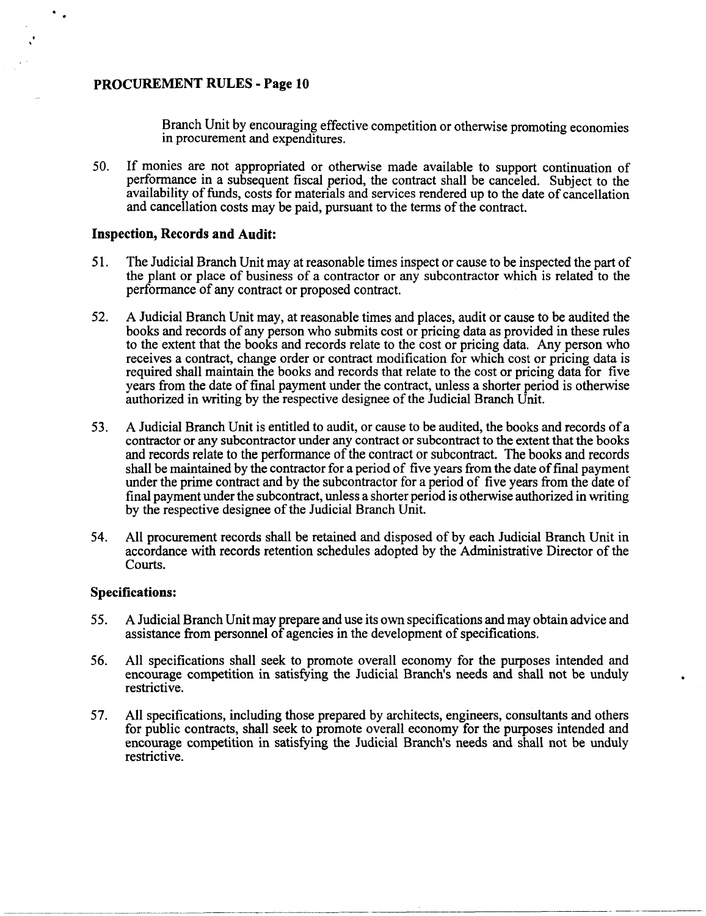$\ddot{\phantom{a}}$ 

Branch Unit by encouraging effective competition or otherwise promoting economies in procurement and expenditures.

50. If monies are not appropriated or otherwise made available to support continuation of performance in a subsequent fiscal period, the contract shall be canceled. Subject to the availability of funds, costs for materials and services rendered up to the date of cancellation and cancellation costs may be paid, pursuant to the terms of the contract.

## **Inspection, Records and Audit:**

- 51. The Judicial Branch Unit may at reasonable times inspect or cause to be inspected the part of the plant or place of business of a contractor or any subcontractor which is related to the performance of any contract or proposed contract.
- 52. A Judicial Branch Unit may, at reasonable times and places, audit or cause to be audited the books and records of any person who submits cost or pricing data as provided in these rules to the extent that the books and records relate to the cost or pricing data. Any person who receives a contract, change order or contract modification for which cost or pricing data is required shall maintain the books and records that relate to the cost or pricing data for five years from the date of final payment under the contract, unless a shorter period is otherwise authorized in writing by the respective designee of the Judicial Branch Unit.
- 53. A Judicial Branch Unit is entitled to audit, or cause to be audited, the books and records ofa contractor or any subcontractor under any contract or subcontract to the extent that the books and records relate to the performance of the contract or subcontract. The books and records shall be maintained by the contractor for a period of five years from the date offinal payment under the prime contract and by the subcontractor for a period of five years from the date of final payment under the subcontract, unless a shorter period is otherwise authorized in writing by the respective designee of the Judicial Branch Unit.
- 54. All procurement records shall be retained and disposed of by each Judicial Branch Unit in accordance with records retention schedules adopted by the Administrative Director of the Courts.

## **Specifications:**

- 55. A Judicial Branch Unit may prepare and use its own specifications and may obtain advice and assistance from personnel of agencies in the development of specifications.
- 56. All specifications shall seek to promote overall economy for the purposes intended and encourage competition in satisfying the Judicial Branch's needs and shall not be unduly restrictive.
- 57. All specifications, including those prepared by architects, engineers, consultants and others for public contracts, shall seek to promote overall economy for the purposes intended and encourage competition in satisfying the Judicial Branch's needs and shall not be unduly restrictive.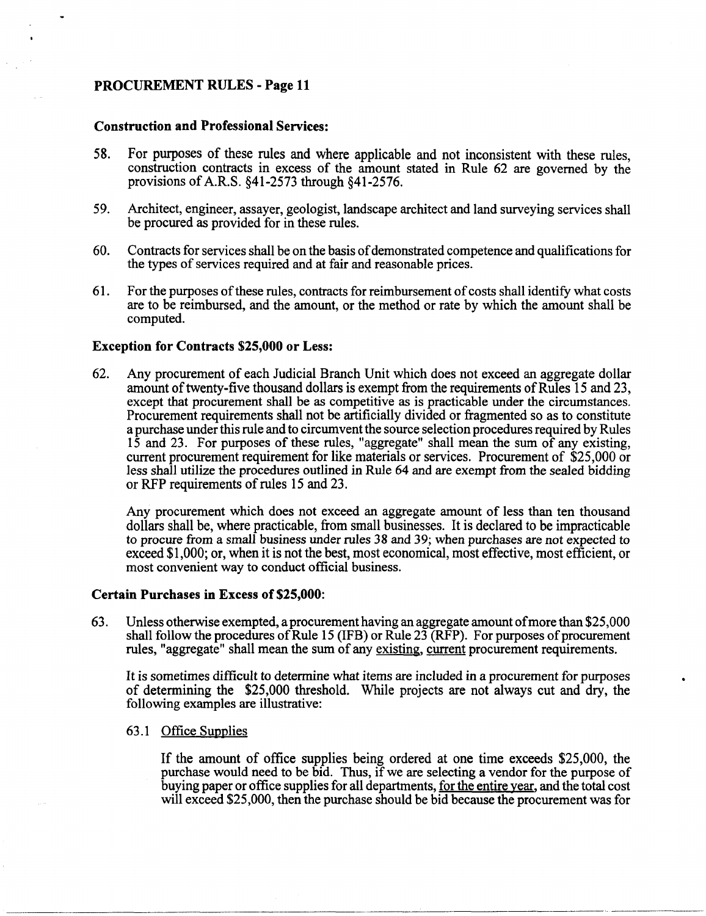## Construction and Professional Services:

- 58. For purposes of these rules and where applicable and not inconsistent with these rules, construction contracts in excess of the amount stated in Rule 62 are governed by the provisions of A.R.S. §41-2573 through §41-2576.
- 59. Architect, engineer, assayer, geologist, landscape architect and land surveying services shall be procured as provided for in these rules.
- 60. Contracts for services shall be on the basis of demonstrated competence and qualifications for the types of services required and at fair and reasonable prices.
- 61. For the purposes of these rules, contracts for reimbursement of costs shall identify what costs are to be reimbursed, and the amount, or the method or rate by which the amount shall be computed.

## Exception for Contracts \$25,000 or Less:

62. Any procurement of each Judicial Branch Unit which does not exceed an aggregate dollar amount of twenty-five thousand dollars is exempt from the requirements of Rules 15 and 23, except that procurement shall be as competitive as is practicable under the circumstances. Procurement requirements shall not be artificially divided or fragmented so as to constitute a purchase under this rule and to circumvent the source selection procedures required by Rules 15 and 23. For purposes of these rules, "aggregate" shall mean the sum of any existing, current procurement requirement for like materials or services. Procurement of \$25,000 or less shall utilize the procedures outlined in Rule 64 and are exempt from the sealed bidding or RFP requirements of rules 15 and 23.

Any procurement which does not exceed an aggregate amount of less than ten thousand dollars shall be, where practicable, from small businesses. It is declared to be impracticable to procure from a small business under rules 38 and 39; when purchases are not expected to exceed \$1,000; or, when it is not the best, most economical, most effective, most efficient, or most convenient way to conduct official business.

#### Certain Purchases in Excess of \$25,000:

63. Unless otherwise exempted, a procurement having an aggregate amount of more than \$25,000 shall follow the procedures of Rule 15 (IFB) or Rule 23 (RFP). For purposes of procurement rules, "aggregate" shall mean the sum of any existing, current procurement requirements.

It is sometimes difficult to determine what items are included in a procurement for purposes of determining the \$25,000 threshold. While projects are not always cut and dry, the following examples are illustrative:

63.1 Office Supplies

If the amount of office supplies being ordered at one time exceeds \$25,000, the purchase would need to be bid. Thus, if we are selecting a vendor for the purpose of buying paper or office supplies for all departments, <u>for the entire year</u>, and the total cost will exceed \$25,000, then the purchase should be bid because the procurement was for

-----------------. --------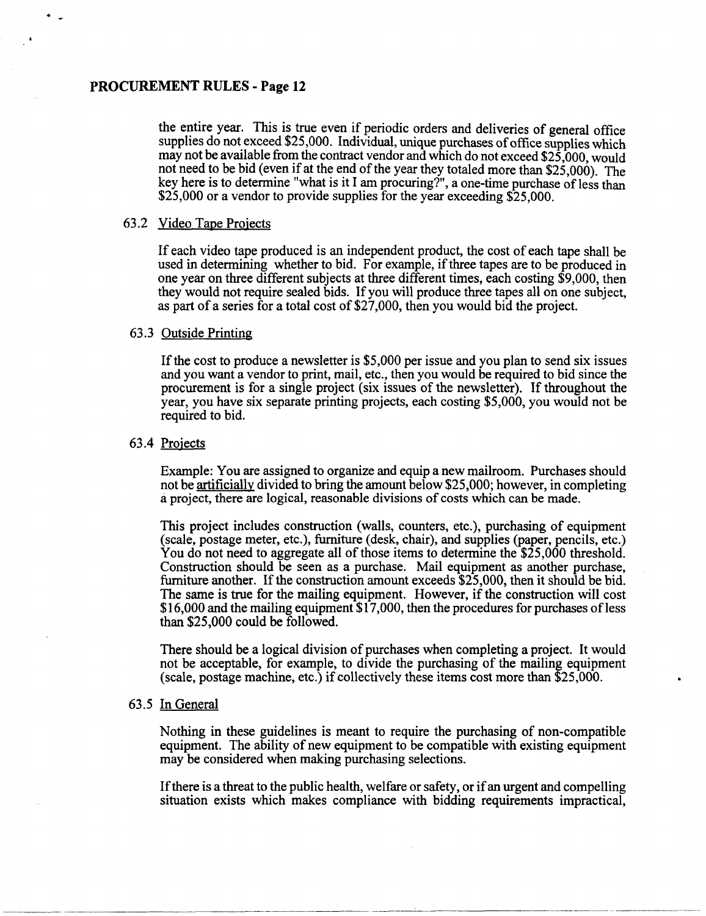the entire year. This is true even if periodic orders and deliveries of general office supplies do not exceed \$25,000. Individual, unique purchases of office supplies which may not be available from the contract vendor and which do not exceed \$25,000, would not need to be bid (even if at the end of the year they totaled more than \$25,000). The key here is to determine "what is it I am procuring?", a one-time purchase of less than \$25,000 or a vendor to provide supplies for the year exceeding \$25,000.

#### 63.2 Video Tape Projects

If each video tape produced is an independent product, the cost of each tape shall be used in determining whether to bid. For example, if three tapes are to be produced in one year on three different subjects at three different times, each costing \$9,000, then they would not require sealed bids. If you will produce three tapes all on one subject, as part of a series for a total cost of \$27,000, then you would bid the project.

### 63.3 Outside Printing

If the cost to produce a newsletter is \$5,000 per issue and you plan to send six issues and you want a vendor to print, mail, etc., then you would be required to bid since the procurement is for a single project (six issues of the newsletter). If throughout the year, you have six separate printing projects, each costing \$5,000, you would not be required to bid.

#### 63.4 Projects

Example: You are assigned to organize and equip a new mailroom. Purchases should not be artificially divided to bring the amount below \$25,000; however, in completing a project, there are logical, reasonable divisions of costs which can be made.

This project includes construction (walls, counters, etc.), purchasing of equipment (scale, postage meter, etc.), furniture (desk, chair), and supplies (paper, pencils, etc.) You do not need to aggregate all of those items to determine the \$25,000 threshold. Construction should be seen as a purchase. Mail equipment as another purchase, furniture another. If the construction amount exceeds \$25,000, then it should be bid. The same is true for the mailing equipment. However, if the construction will cost \$16,000 and the mailing equipment \$17,000, then the procedures for purchases ofless than \$25,000 could be followed.

There should be a logical division of purchases when completing a project. It would not be acceptable, for example, to divide the purchasing of the mailing equipment (scale, postage machine, etc.) if collectively these items cost more than \$25,000.

#### 63.5 In General

Nothing in these guidelines is meant to require the purchasing of non-compatible equipment. The ability of new equipment to be compatible with existing equipment may be considered when making purchasing selections.

If there is a threat to the public health, welfare or safety, or if an urgent and compelling situation exists which makes compliance with bidding requirements impractical,